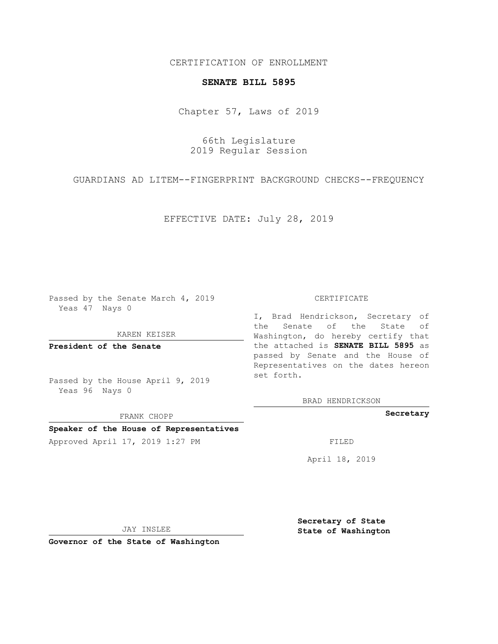CERTIFICATION OF ENROLLMENT

## **SENATE BILL 5895**

Chapter 57, Laws of 2019

66th Legislature 2019 Regular Session

GUARDIANS AD LITEM--FINGERPRINT BACKGROUND CHECKS--FREQUENCY

EFFECTIVE DATE: July 28, 2019

Passed by the Senate March 4, 2019 Yeas 47 Nays 0

KAREN KEISER

**President of the Senate**

Passed by the House April 9, 2019 Yeas 96 Nays 0

FRANK CHOPP

## **Speaker of the House of Representatives**

Approved April 17, 2019 1:27 PM FILED

## CERTIFICATE

I, Brad Hendrickson, Secretary of the Senate of the State of Washington, do hereby certify that the attached is **SENATE BILL 5895** as passed by Senate and the House of Representatives on the dates hereon set forth.

BRAD HENDRICKSON

**Secretary**

April 18, 2019

JAY INSLEE

**Governor of the State of Washington**

**Secretary of State State of Washington**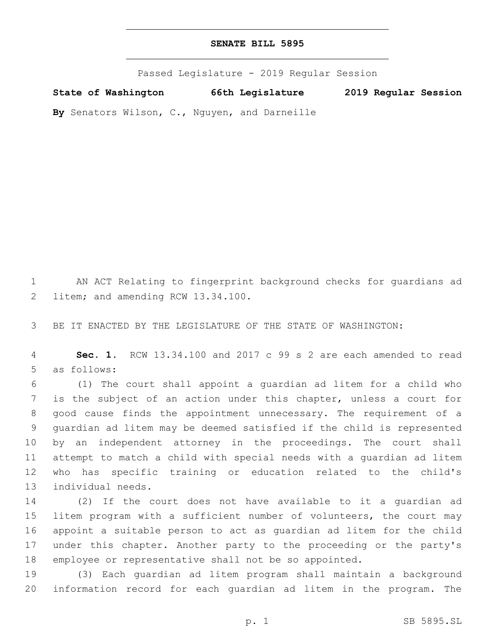Passed Legislature - 2019 Regular Session

**State of Washington 66th Legislature 2019 Regular Session**

**By** Senators Wilson, C., Nguyen, and Darneille

 AN ACT Relating to fingerprint background checks for guardians ad 2 litem; and amending RCW 13.34.100.

BE IT ENACTED BY THE LEGISLATURE OF THE STATE OF WASHINGTON:

 **Sec. 1.** RCW 13.34.100 and 2017 c 99 s 2 are each amended to read 5 as follows:

 (1) The court shall appoint a guardian ad litem for a child who is the subject of an action under this chapter, unless a court for good cause finds the appointment unnecessary. The requirement of a guardian ad litem may be deemed satisfied if the child is represented by an independent attorney in the proceedings. The court shall attempt to match a child with special needs with a guardian ad litem who has specific training or education related to the child's 13 individual needs.

 (2) If the court does not have available to it a guardian ad litem program with a sufficient number of volunteers, the court may appoint a suitable person to act as guardian ad litem for the child under this chapter. Another party to the proceeding or the party's employee or representative shall not be so appointed.

 (3) Each guardian ad litem program shall maintain a background information record for each guardian ad litem in the program. The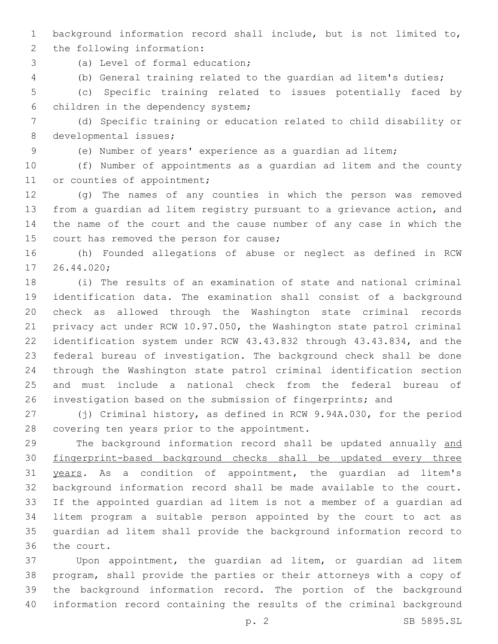background information record shall include, but is not limited to,

2 the following information:

(a) Level of formal education;3

(b) General training related to the guardian ad litem's duties;

 (c) Specific training related to issues potentially faced by 6 children in the dependency system;

 (d) Specific training or education related to child disability or 8 developmental issues;

(e) Number of years' experience as a guardian ad litem;

 (f) Number of appointments as a guardian ad litem and the county 11 or counties of appointment;

 (g) The names of any counties in which the person was removed from a guardian ad litem registry pursuant to a grievance action, and the name of the court and the cause number of any case in which the 15 court has removed the person for cause;

 (h) Founded allegations of abuse or neglect as defined in RCW 17 26.44.020;

 (i) The results of an examination of state and national criminal identification data. The examination shall consist of a background check as allowed through the Washington state criminal records privacy act under RCW 10.97.050, the Washington state patrol criminal identification system under RCW 43.43.832 through 43.43.834, and the federal bureau of investigation. The background check shall be done through the Washington state patrol criminal identification section and must include a national check from the federal bureau of investigation based on the submission of fingerprints; and

 (j) Criminal history, as defined in RCW 9.94A.030, for the period 28 covering ten years prior to the appointment.

 The background information record shall be updated annually and fingerprint-based background checks shall be updated every three years. As a condition of appointment, the guardian ad litem's background information record shall be made available to the court. If the appointed guardian ad litem is not a member of a guardian ad litem program a suitable person appointed by the court to act as guardian ad litem shall provide the background information record to 36 the court.

 Upon appointment, the guardian ad litem, or guardian ad litem program, shall provide the parties or their attorneys with a copy of the background information record. The portion of the background information record containing the results of the criminal background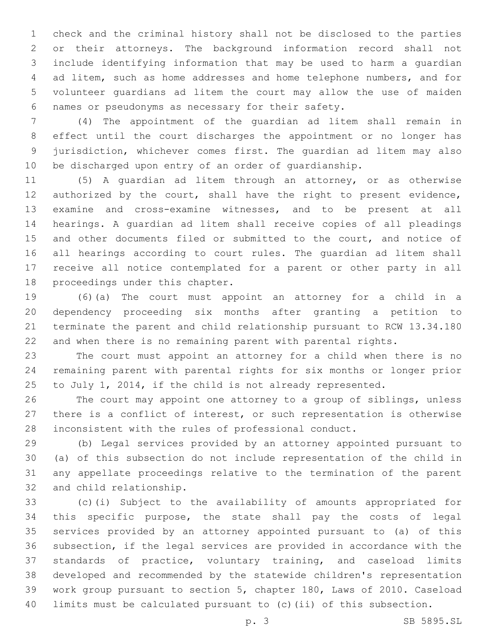check and the criminal history shall not be disclosed to the parties or their attorneys. The background information record shall not include identifying information that may be used to harm a guardian ad litem, such as home addresses and home telephone numbers, and for volunteer guardians ad litem the court may allow the use of maiden names or pseudonyms as necessary for their safety.6

 (4) The appointment of the guardian ad litem shall remain in effect until the court discharges the appointment or no longer has jurisdiction, whichever comes first. The guardian ad litem may also be discharged upon entry of an order of guardianship.

 (5) A guardian ad litem through an attorney, or as otherwise 12 authorized by the court, shall have the right to present evidence, examine and cross-examine witnesses, and to be present at all hearings. A guardian ad litem shall receive copies of all pleadings 15 and other documents filed or submitted to the court, and notice of all hearings according to court rules. The guardian ad litem shall receive all notice contemplated for a parent or other party in all 18 proceedings under this chapter.

 (6)(a) The court must appoint an attorney for a child in a dependency proceeding six months after granting a petition to terminate the parent and child relationship pursuant to RCW 13.34.180 and when there is no remaining parent with parental rights.

 The court must appoint an attorney for a child when there is no remaining parent with parental rights for six months or longer prior to July 1, 2014, if the child is not already represented.

 The court may appoint one attorney to a group of siblings, unless there is a conflict of interest, or such representation is otherwise inconsistent with the rules of professional conduct.

 (b) Legal services provided by an attorney appointed pursuant to (a) of this subsection do not include representation of the child in any appellate proceedings relative to the termination of the parent 32 and child relationship.

 (c)(i) Subject to the availability of amounts appropriated for this specific purpose, the state shall pay the costs of legal services provided by an attorney appointed pursuant to (a) of this subsection, if the legal services are provided in accordance with the standards of practice, voluntary training, and caseload limits developed and recommended by the statewide children's representation work group pursuant to section 5, chapter 180, Laws of 2010. Caseload limits must be calculated pursuant to (c)(ii) of this subsection.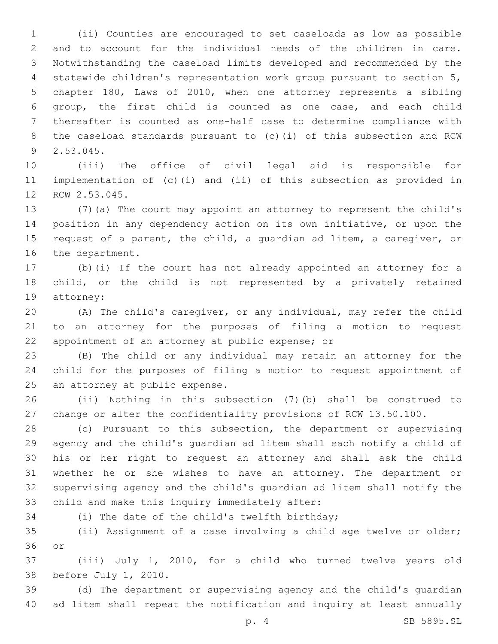(ii) Counties are encouraged to set caseloads as low as possible and to account for the individual needs of the children in care. Notwithstanding the caseload limits developed and recommended by the statewide children's representation work group pursuant to section 5, chapter 180, Laws of 2010, when one attorney represents a sibling group, the first child is counted as one case, and each child thereafter is counted as one-half case to determine compliance with the caseload standards pursuant to (c)(i) of this subsection and RCW 2.53.045.9

 (iii) The office of civil legal aid is responsible for implementation of (c)(i) and (ii) of this subsection as provided in 12 RCW 2.53.045.

 (7)(a) The court may appoint an attorney to represent the child's position in any dependency action on its own initiative, or upon the request of a parent, the child, a guardian ad litem, a caregiver, or 16 the department.

 (b)(i) If the court has not already appointed an attorney for a 18 child, or the child is not represented by a privately retained 19 attorney:

 (A) The child's caregiver, or any individual, may refer the child to an attorney for the purposes of filing a motion to request 22 appointment of an attorney at public expense; or

 (B) The child or any individual may retain an attorney for the child for the purposes of filing a motion to request appointment of 25 an attorney at public expense.

 (ii) Nothing in this subsection (7)(b) shall be construed to change or alter the confidentiality provisions of RCW 13.50.100.

 (c) Pursuant to this subsection, the department or supervising agency and the child's guardian ad litem shall each notify a child of his or her right to request an attorney and shall ask the child whether he or she wishes to have an attorney. The department or supervising agency and the child's guardian ad litem shall notify the 33 child and make this inquiry immediately after:

34 (i) The date of the child's twelfth birthday;

 (ii) Assignment of a case involving a child age twelve or older; 36 or

 (iii) July 1, 2010, for a child who turned twelve years old 38 before July 1, 2010.

 (d) The department or supervising agency and the child's guardian ad litem shall repeat the notification and inquiry at least annually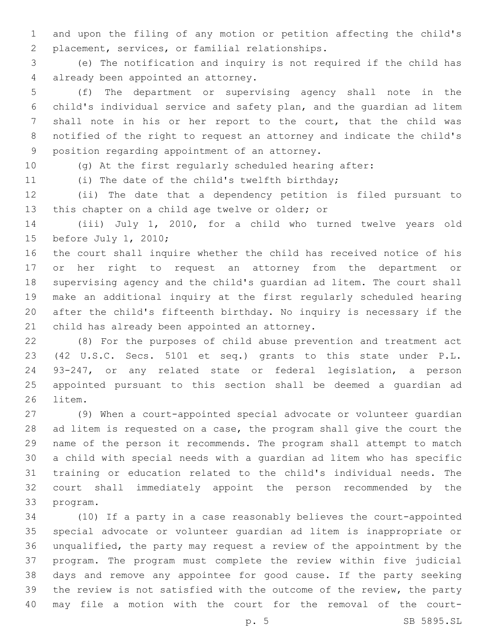and upon the filing of any motion or petition affecting the child's 2 placement, services, or familial relationships.

 (e) The notification and inquiry is not required if the child has 4 already been appointed an attorney.

 (f) The department or supervising agency shall note in the child's individual service and safety plan, and the guardian ad litem shall note in his or her report to the court, that the child was notified of the right to request an attorney and indicate the child's 9 position regarding appointment of an attorney.

(g) At the first regularly scheduled hearing after:

11 (i) The date of the child's twelfth birthday;

 (ii) The date that a dependency petition is filed pursuant to 13 this chapter on a child age twelve or older; or

 (iii) July 1, 2010, for a child who turned twelve years old 15 before July 1, 2010;

 the court shall inquire whether the child has received notice of his or her right to request an attorney from the department or supervising agency and the child's guardian ad litem. The court shall make an additional inquiry at the first regularly scheduled hearing after the child's fifteenth birthday. No inquiry is necessary if the 21 child has already been appointed an attorney.

 (8) For the purposes of child abuse prevention and treatment act (42 U.S.C. Secs. 5101 et seq.) grants to this state under P.L. 93-247, or any related state or federal legislation, a person appointed pursuant to this section shall be deemed a guardian ad 26 litem.

 (9) When a court-appointed special advocate or volunteer guardian ad litem is requested on a case, the program shall give the court the name of the person it recommends. The program shall attempt to match a child with special needs with a guardian ad litem who has specific training or education related to the child's individual needs. The court shall immediately appoint the person recommended by the 33 program.

 (10) If a party in a case reasonably believes the court-appointed special advocate or volunteer guardian ad litem is inappropriate or unqualified, the party may request a review of the appointment by the program. The program must complete the review within five judicial days and remove any appointee for good cause. If the party seeking the review is not satisfied with the outcome of the review, the party may file a motion with the court for the removal of the court